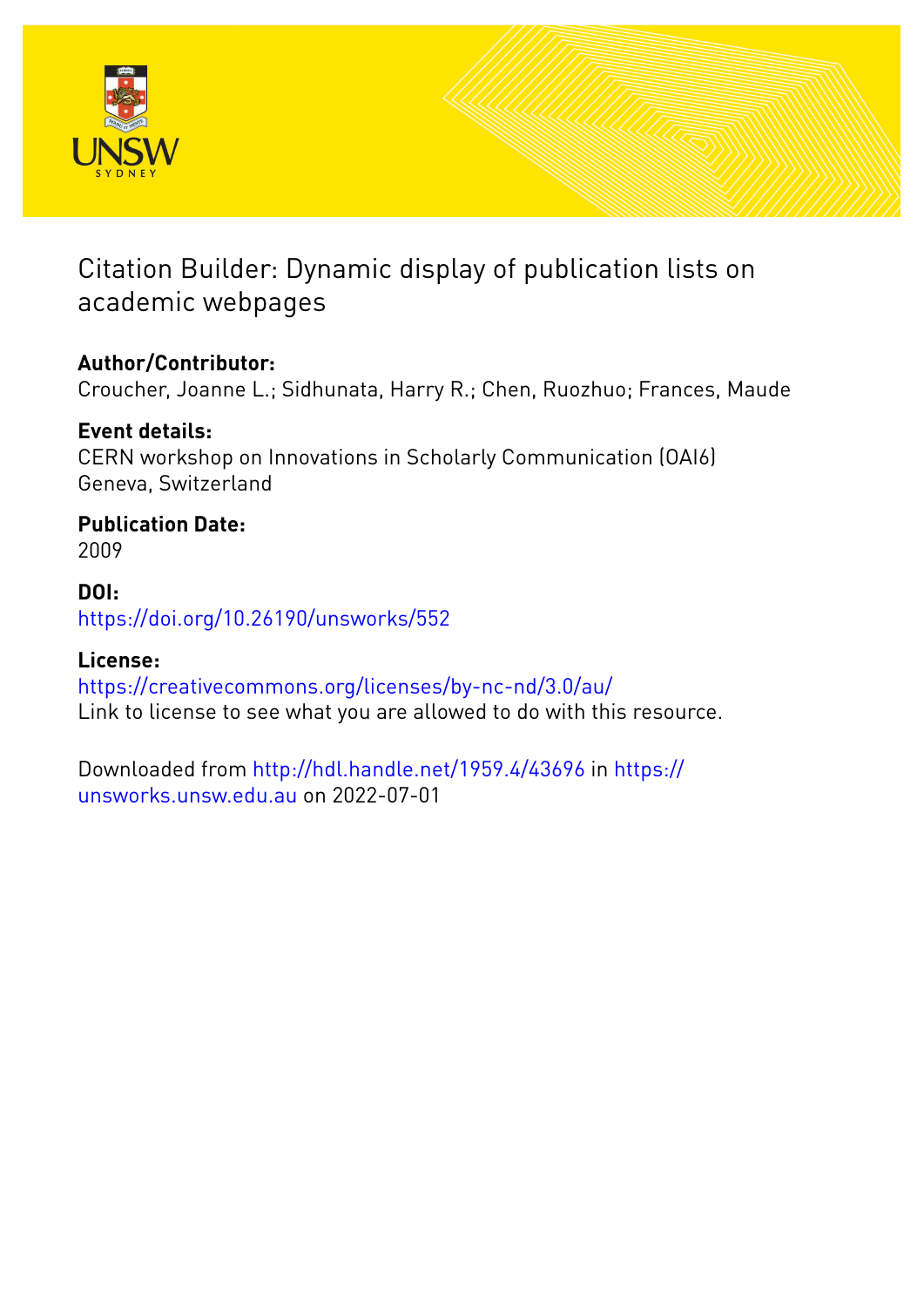

### Citation Builder: Dynamic display of publication lists on academic webpages

### **Author/Contributor:**

Croucher, Joanne L.; Sidhunata, Harry R.; Chen, Ruozhuo; Frances, Maude

### **Event details:**

CERN workshop on Innovations in Scholarly Communication (OAI6) Geneva, Switzerland

#### **Publication Date:** 2009

### **DOI:**

[https://doi.org/10.26190/unsworks/552](http://dx.doi.org/https://doi.org/10.26190/unsworks/552)

### **License:**

<https://creativecommons.org/licenses/by-nc-nd/3.0/au/> Link to license to see what you are allowed to do with this resource.

Downloaded from <http://hdl.handle.net/1959.4/43696> in [https://](https://unsworks.unsw.edu.au) [unsworks.unsw.edu.au](https://unsworks.unsw.edu.au) on 2022-07-01